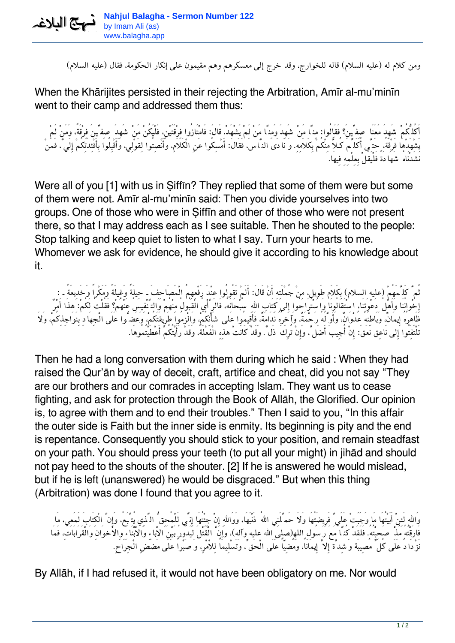*ومن كلام له (عليه السلام) قاله للخوارج، وقد خرج إلى معسكرهم وهم مقيمون على إنكار الحكومة، فقال (عليه السلام)*

When the Khārijites persisted in their rejecting the Arbitration, Amīr al-mu'minīn went to their camp and addressed them thus:

*أَكُلُّكُمْ شَهِدَ مَعَنَا صِفِّينَ؟ فَقَالُوا: مِنَّا مَنْ شَهِدَ وَمِنَّا مَنْ لَمْ يَشْهَد.ْ قَال:َ فَامْتَازُوا فِرْقَتَيْن،ِ فَلْيَكُنْ مَنْ شَهِدَ صِفِّينَ فِرْقَة،ً وَمَنْ لَمْ يَشْهَدْهَا فَرْقَة،ً حَتَّى أُكَلِّمَ كُـلاًّ مِنْكُمْ بِكَلاَمِه.ِ وَ نَادَى النَّاس،َ فَقَال:َ أَمْسِكُوا عَنِ الْكَلاَم،ِ وَأَنْصِتُوا لِقَوْلِي، وَأَقْبِلُوا بِأَفْئِدَتِكُمْ إِلَيَّ، فَمَنْ نَشَدْنَاهُ شَهَادَةً فَلْيَقُلْ بِعِلْمِهِ فِيهَا.*

Were all of you [1] with us in Siffin? They replied that some of them were but some of them were not. Amīr al-mu'minīn said: Then you divide yourselves into two groups. One of those who were in Ṣiffīn and other of those who were not present there, so that I may address each as I see suitable. Then he shouted to the people: Stop talking and keep quiet to listen to what I say. Turn your hearts to me. Whomever we ask for evidence, he should give it according to his knowledge about it.

*ثُمَّ كَلَّمَهُمْ (عليه السلام) بِكَلاَم طَوِيل، مِنْ جُمْلَتِهِ أَنْ قَال:َ أَلَمْ تَقُولُوا عِنْدَ رَفْعِهِمُ الْمَصَاحِفَ ـ حِيلَةً وَغِيلَةً وَمَكْراً وَخَدِيعَةً ـ : إِخْوانُنَا وَأَهْلُ دَعْوَتِنَا، اسْتَقَالُونَا وَاسْتَرَاحُوا إِلى كِتَابِ االلهِ سُبْحَانَه،ُ فَالرَّأْيُ الْقَبُولُ مِنْهُمْ وَالتَّنْفِيسُ عَنْهُمْ؟ فَقُلْتُ لَكُم:ْ هذَا أَمْرٌ ظَاهِرُهُ إِيمَان،ٌ وَبَاطِنُهُ عُدْوَان،ٌ وَأَوَّلُهُ رَحْمَة،ٌ وَآخِرُهُ نَدَامَة،ٌ فَأَقِيمُوا عَلى شَأْنِكُم،ْ وَالْزمُوا طَرِيقَتَكُم،ْ وَعَضُّوا عَلَى الْجِهَادِ بِنَوَاجِذِكُم،ْ وَلاَ تَلْتَفِتُوا إِلى نَاعِق نَعَق:َ إِنْ أُجِيبَ أَضَلَّ، وَإِنْ تُرِكَ ذَلَّ. وَقَدْ كَانَتْ هذِهِ الْفَعْلَة،ُ وَقَدْ رَأَيْتُكُمْ أَعْطَيْتُمُوهَا.*

Then he had a long conversation with them during which he said : When they had raised the Qur'ān by way of deceit, craft, artifice and cheat, did you not say "They are our brothers and our comrades in accepting Islam. They want us to cease fighting, and ask for protection through the Book of Allāh, the Glorified. Our opinion is, to agree with them and to end their troubles." Then I said to you, "In this affair the outer side is Faith but the inner side is enmity. Its beginning is pity and the end is repentance. Consequently you should stick to your position, and remain steadfast on your path. You should press your teeth (to put all your might) in jihād and should not pay heed to the shouts of the shouter. [2] If he is answered he would mislead, but if he is left (unanswered) he would be disgraced." But when this thing (Arbitration) was done I found that you agree to it.

وَاللهِ لَئِنْ أَبَيْتُهَا مَا وَجَبَتْ عَلَي ۗ فَرِيضَتُهَا وَلاَ حَمَّلَنِي اللهُ ذَنْبَهَا، وَوَاللهِ إِنْ جِئْتُهَا إِنِّي لِلْمُحِقُّ الدَّنِي يُتَّبَعُ، وَإِنَّ الْكِتَابَ لَمَعِي، مَا *فَارَقْتُهُ مُذْ صَحِبْتُه.ُ فَلَقَدْ كُنَّا مَعَ رَسُولِ اللهِ(صلى االله عليه وآله)، وَإِنَّ الْقَتْلَ لَيَدُورُ بَيْنَ الاْباءِ وَالاْبْنَاءِ وِالاْخوَانِ وَالْقَرَابَات،ِ فَمَا نَزْدَادُ عَلَى كُلِّ مُصِيبَة وَشِدَّة إِلاَّ إِيمَانا،ً وَمُضِيّاً عَلَى الْحَقِّ، وَتَسْلِيماً لِلاْمْر،ِ وَصَبْراً عَلَى مَضَضِ الْجِرَاح.ِ*

By Allāh, if I had refused it, it would not have been obligatory on me. Nor would